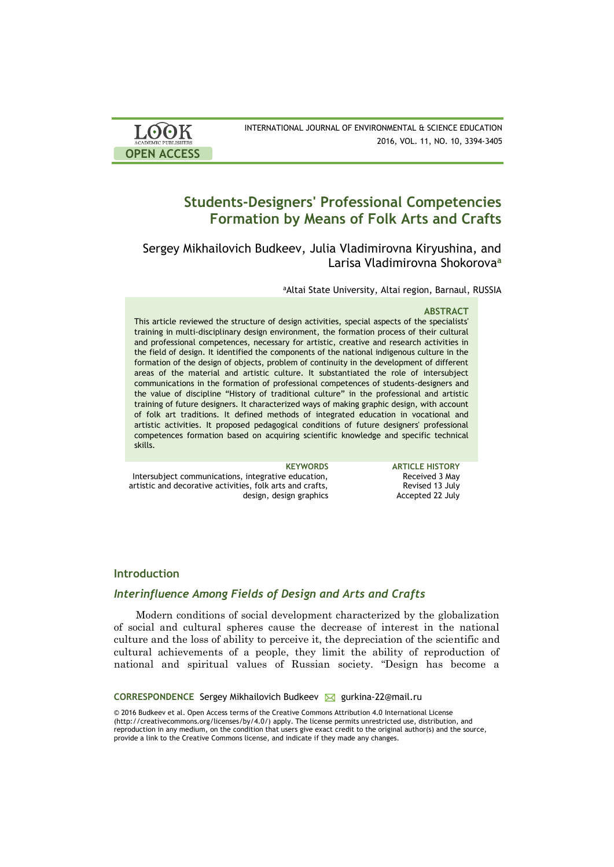| <b>LOOK</b>                | INTERNATIONAL JOURNAL OF ENVIRONMENTAL & SCIENCE EDUCATION |
|----------------------------|------------------------------------------------------------|
| <b>ACADEMIC PUBLISHERS</b> | 2016, VOL. 11, NO. 10, 3394-3405                           |
| <b>OPEN ACCESS</b>         |                                                            |

# **Students-Designers' Professional Competencies Formation by Means of Folk Arts and Crafts**

## Sergey Mikhailovich Budkeev, Julia Vladimirovna Kiryushina, and Larisa Vladimirovna Shokorova **a**

aAltai State University, Altai region, Barnaul, RUSSIA

#### **ABSTRACT**

This article reviewed the structure of design activities, special aspects of the specialists' training in multi-disciplinary design environment, the formation process of their cultural and professional competences, necessary for artistic, creative and research activities in the field of design. It identified the components of the national indigenous culture in the formation of the design of objects, problem of continuity in the development of different areas of the material and artistic culture. It substantiated the role of intersubject communications in the formation of professional competences of students-designers and the value of discipline "History of traditional culture" in the professional and artistic training of future designers. It characterized ways of making graphic design, with account of folk art traditions. It defined methods of integrated education in vocational and artistic activities. It proposed pedagogical conditions of future designers' professional competences formation based on acquiring scientific knowledge and specific technical skills.

**KEYWORDS ARTICLE HISTORY** Intersubject communications, integrative education, artistic and decorative activities, folk arts and crafts, design, design graphics Received 3 May Revised 13 July Accepted 22 July

## **Introduction**

## *Interinfluence Among Fields of Design and Arts and Crafts*

Modern conditions of social development characterized by the globalization of social and cultural spheres cause the decrease of interest in the national culture and the loss of ability to perceive it, the depreciation of the scientific and cultural achievements of a people, they limit the ability of reproduction of national and spiritual values of Russian society. "Design has become a

**CORRESPONDENCE** Sergey Mikhailovich Budkeev M gurkina-22@mail.ru

© 2016 Budkeev et al. Open Access terms of the Creative Commons Attribution 4.0 International License (http://creativecommons.org/licenses/by/4.0/) apply. The license permits unrestricted use, distribution, and reproduction in any medium, on the condition that users give exact credit to the original author(s) and the source, provide a link to the Creative Commons license, and indicate if they made any changes.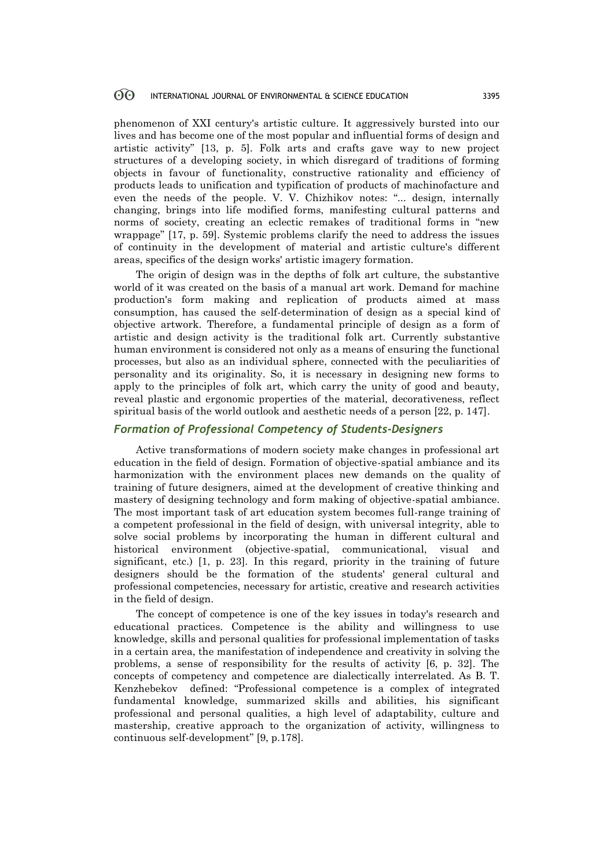phenomenon of XXI century's artistic culture. It aggressively bursted into our lives and has become one of the most popular and influential forms of design and artistic activity" [13, p. 5]. Folk arts and crafts gave way to new project structures of a developing society, in which disregard of traditions of forming objects in favour of functionality, constructive rationality and efficiency of products leads to unification and typification of products of machinofacture and even the needs of the people. V. V. Chizhikov notes: "... design, internally changing, brings into life modified forms, manifesting cultural patterns and norms of society, creating an eclectic remakes of traditional forms in "new wrappage" [17, p. 59]. Systemic problems clarify the need to address the issues of continuity in the development of material and artistic culture's different areas, specifics of the design works' artistic imagery formation.

The origin of design was in the depths of folk art culture, the substantive world of it was created on the basis of a manual art work. Demand for machine production's form making and replication of products aimed at mass consumption, has caused the self-determination of design as a special kind of objective artwork. Therefore, a fundamental principle of design as a form of artistic and design activity is the traditional folk art. Currently substantive human environment is considered not only as a means of ensuring the functional processes, but also as an individual sphere, connected with the peculiarities of personality and its originality. So, it is necessary in designing new forms to apply to the principles of folk art, which carry the unity of good and beauty, reveal plastic and ergonomic properties of the material, decorativeness, reflect spiritual basis of the world outlook and aesthetic needs of a person [22, p. 147].

### *Formation of Professional Competency of Students-Designers*

Active transformations of modern society make changes in professional art education in the field of design. Formation of objective-spatial ambiance and its harmonization with the environment places new demands on the quality of training of future designers, aimed at the development of creative thinking and mastery of designing technology and form making of objective-spatial ambiance. The most important task of art education system becomes full-range training of a competent professional in the field of design, with universal integrity, able to solve social problems by incorporating the human in different cultural and historical environment (objective-spatial, communicational, visual and significant, etc.) [1, p. 23]. In this regard, priority in the training of future designers should be the formation of the students' general cultural and professional competencies, necessary for artistic, creative and research activities in the field of design.

The concept of competence is one of the key issues in today's research and educational practices. Competence is the ability and willingness to use knowledge, skills and personal qualities for professional implementation of tasks in a certain area, the manifestation of independence and creativity in solving the problems, a sense of responsibility for the results of activity [6, p. 32]. The concepts of competency and competence are dialectically interrelated. As B. T. Kenzhebekov defined: "Professional competence is a complex of integrated fundamental knowledge, summarized skills and abilities, his significant professional and personal qualities, a high level of adaptability, culture and mastership, creative approach to the organization of activity, willingness to continuous self-development" [9, p.178].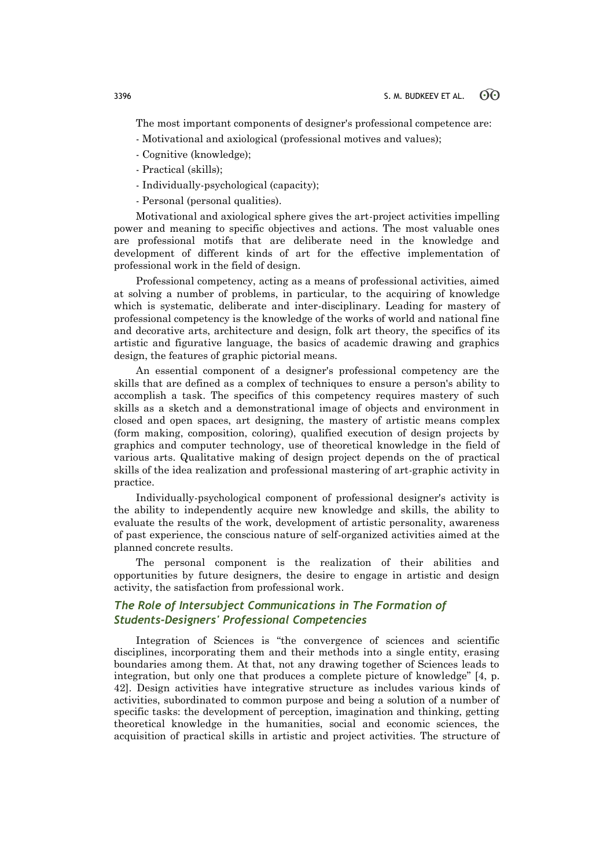The most important components of designer's professional competence are:

- Motivational and axiological (professional motives and values);
- Cognitive (knowledge);
- Practical (skills);
- Individually-psychological (capacity);

- Personal (personal qualities).

Motivational and axiological sphere gives the art-project activities impelling power and meaning to specific objectives and actions. The most valuable ones are professional motifs that are deliberate need in the knowledge and development of different kinds of art for the effective implementation of professional work in the field of design.

Professional competency, acting as a means of professional activities, aimed at solving a number of problems, in particular, to the acquiring of knowledge which is systematic, deliberate and inter-disciplinary. Leading for mastery of professional competency is the knowledge of the works of world and national fine and decorative arts, architecture and design, folk art theory, the specifics of its artistic and figurative language, the basics of academic drawing and graphics design, the features of graphic pictorial means.

An essential component of a designer's professional competency are the skills that are defined as a complex of techniques to ensure a person's ability to accomplish a task. The specifics of this competency requires mastery of such skills as a sketch and a demonstrational image of objects and environment in closed and open spaces, art designing, the mastery of artistic means complex (form making, composition, coloring), qualified execution of design projects by graphics and computer technology, use of theoretical knowledge in the field of various arts. Qualitative making of design project depends on the of practical skills of the idea realization and professional mastering of art-graphic activity in practice.

Individually-psychological component of professional designer's activity is the ability to independently acquire new knowledge and skills, the ability to evaluate the results of the work, development of artistic personality, awareness of past experience, the conscious nature of self-organized activities aimed at the planned concrete results.

The personal component is the realization of their abilities and opportunities by future designers, the desire to engage in artistic and design activity, the satisfaction from professional work.

## *The Role of Intersubject Communications in The Formation of Students-Designers' Professional Competencies*

Integration of Sciences is "the convergence of sciences and scientific disciplines, incorporating them and their methods into a single entity, erasing boundaries among them. At that, not any drawing together of Sciences leads to integration, but only one that produces a complete picture of knowledge" [4, p. 42]. Design activities have integrative structure as includes various kinds of activities, subordinated to common purpose and being a solution of a number of specific tasks: the development of perception, imagination and thinking, getting theoretical knowledge in the humanities, social and economic sciences, the acquisition of practical skills in artistic and project activities. The structure of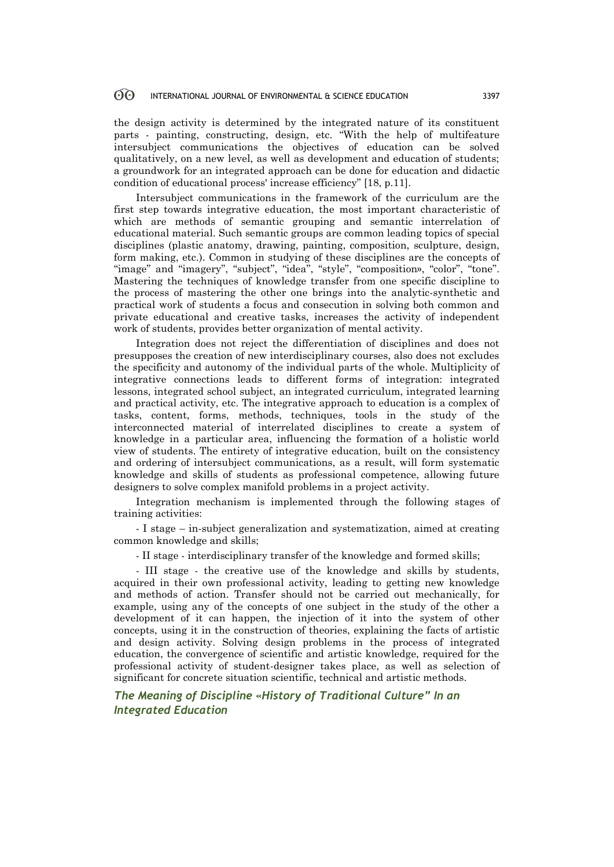the design activity is determined by the integrated nature of its constituent parts - painting, constructing, design, etc. "With the help of multifeature intersubject communications the objectives of education can be solved qualitatively, on a new level, as well as development and education of students; a groundwork for an integrated approach can be done for education and didactic condition of educational process' increase efficiency" [18, p.11].

Intersubject communications in the framework of the curriculum are the first step towards integrative education, the most important characteristic of which are methods of semantic grouping and semantic interrelation of educational material. Such semantic groups are common leading topics of special disciplines (plastic anatomy, drawing, painting, composition, sculpture, design, form making, etc.). Common in studying of these disciplines are the concepts of "image" and "imagery", "subject", "idea", "style", "composition», "color", "tone". Mastering the techniques of knowledge transfer from one specific discipline to the process of mastering the other one brings into the analytic-synthetic and practical work of students a focus and consecution in solving both common and private educational and creative tasks, increases the activity of independent work of students, provides better organization of mental activity.

Integration does not reject the differentiation of disciplines and does not presupposes the creation of new interdisciplinary courses, also does not excludes the specificity and autonomy of the individual parts of the whole. Multiplicity of integrative connections leads to different forms of integration: integrated lessons, integrated school subject, an integrated curriculum, integrated learning and practical activity, etc. The integrative approach to education is a complex of tasks, content, forms, methods, techniques, tools in the study of the interconnected material of interrelated disciplines to create a system of knowledge in a particular area, influencing the formation of a holistic world view of students. The entirety of integrative education, built on the consistency and ordering of intersubject communications, as a result, will form systematic knowledge and skills of students as professional competence, allowing future designers to solve complex manifold problems in a project activity.

Integration mechanism is implemented through the following stages of training activities:

- I stage – in-subject generalization and systematization, aimed at creating common knowledge and skills;

- II stage - interdisciplinary transfer of the knowledge and formed skills;

- III stage - the creative use of the knowledge and skills by students, acquired in their own professional activity, leading to getting new knowledge and methods of action. Transfer should not be carried out mechanically, for example, using any of the concepts of one subject in the study of the other a development of it can happen, the injection of it into the system of other concepts, using it in the construction of theories, explaining the facts of artistic and design activity. Solving design problems in the process of integrated education, the convergence of scientific and artistic knowledge, required for the professional activity of student-designer takes place, as well as selection of significant for concrete situation scientific, technical and artistic methods.

*The Meaning of Discipline «History of Traditional Culture" In an Integrated Education*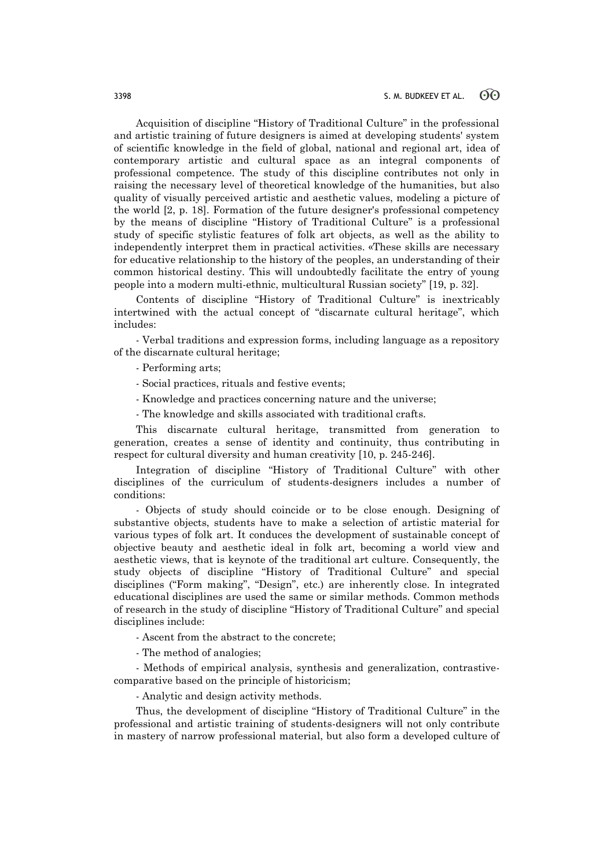Acquisition of discipline "History of Traditional Culture" in the professional and artistic training of future designers is aimed at developing students' system of scientific knowledge in the field of global, national and regional art, idea of contemporary artistic and cultural space as an integral components of professional competence. The study of this discipline contributes not only in raising the necessary level of theoretical knowledge of the humanities, but also quality of visually perceived artistic and aesthetic values, modeling a picture of the world [2, p. 18]. Formation of the future designer's professional competency by the means of discipline "History of Traditional Culture" is a professional study of specific stylistic features of folk art objects, as well as the ability to independently interpret them in practical activities. «These skills are necessary for educative relationship to the history of the peoples, an understanding of their common historical destiny. This will undoubtedly facilitate the entry of young people into a modern multi-ethnic, multicultural Russian society" [19, p. 32].

Contents of discipline "History of Traditional Culture" is inextricably intertwined with the actual concept of "discarnate cultural heritage", which includes:

- Verbal traditions and expression forms, including language as a repository of the discarnate cultural heritage;

- Performing arts;

- Social practices, rituals and festive events;
- Knowledge and practices concerning nature and the universe;
- The knowledge and skills associated with traditional crafts.

This discarnate cultural heritage, transmitted from generation to generation, creates a sense of identity and continuity, thus contributing in respect for cultural diversity and human creativity [10, p. 245-246].

Integration of discipline "History of Traditional Culture" with other disciplines of the curriculum of students-designers includes a number of conditions:

- Objects of study should coincide or to be close enough. Designing of substantive objects, students have to make a selection of artistic material for various types of folk art. It conduces the development of sustainable concept of objective beauty and aesthetic ideal in folk art, becoming a world view and aesthetic views, that is keynote of the traditional art culture. Consequently, the study objects of discipline "History of Traditional Culture" and special disciplines ("Form making", "Design", etc.) are inherently close. In integrated educational disciplines are used the same or similar methods. Common methods of research in the study of discipline "History of Traditional Culture" and special disciplines include:

- Ascent from the abstract to the concrete;

- The method of analogies;

- Methods of empirical analysis, synthesis and generalization, contrastivecomparative based on the principle of historicism;

- Analytic and design activity methods.

Thus, the development of discipline "History of Traditional Culture" in the professional and artistic training of students-designers will not only contribute in mastery of narrow professional material, but also form a developed culture of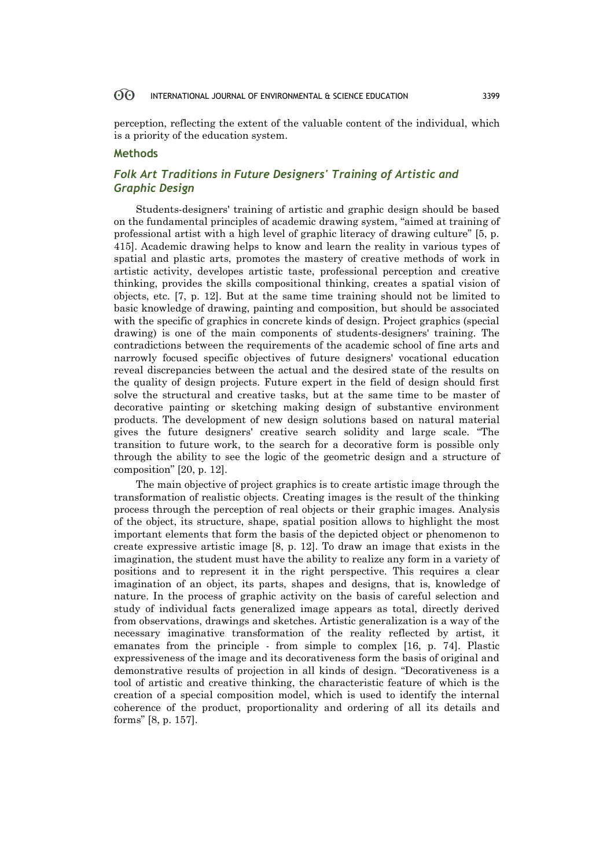perception, reflecting the extent of the valuable content of the individual, which is a priority of the education system.

## **Methods**

## *Folk Art Traditions in Future Designers' Training of Artistic and Graphic Design*

Students-designers' training of artistic and graphic design should be based on the fundamental principles of academic drawing system, "aimed at training of professional artist with a high level of graphic literacy of drawing culture" [5, p. 415]. Academic drawing helps to know and learn the reality in various types of spatial and plastic arts, promotes the mastery of creative methods of work in artistic activity, developes artistic taste, professional perception and creative thinking, provides the skills compositional thinking, creates a spatial vision of objects, etc. [7, p. 12]. But at the same time training should not be limited to basic knowledge of drawing, painting and composition, but should be associated with the specific of graphics in concrete kinds of design. Project graphics (special drawing) is one of the main components of students-designers' training. The contradictions between the requirements of the academic school of fine arts and narrowly focused specific objectives of future designers' vocational education reveal discrepancies between the actual and the desired state of the results on the quality of design projects. Future expert in the field of design should first solve the structural and creative tasks, but at the same time to be master of decorative painting or sketching making design of substantive environment products. The development of new design solutions based on natural material gives the future designers' creative search solidity and large scale. "The transition to future work, to the search for a decorative form is possible only through the ability to see the logic of the geometric design and a structure of composition" [20, p. 12].

The main objective of project graphics is to create artistic image through the transformation of realistic objects. Creating images is the result of the thinking process through the perception of real objects or their graphic images. Analysis of the object, its structure, shape, spatial position allows to highlight the most important elements that form the basis of the depicted object or phenomenon to create expressive artistic image [8, p. 12]. To draw an image that exists in the imagination, the student must have the ability to realize any form in a variety of positions and to represent it in the right perspective. This requires a clear imagination of an object, its parts, shapes and designs, that is, knowledge of nature. In the process of graphic activity on the basis of careful selection and study of individual facts generalized image appears as total, directly derived from observations, drawings and sketches. Artistic generalization is a way of the necessary imaginative transformation of the reality reflected by artist, it emanates from the principle - from simple to complex [16, p. 74]. Plastic expressiveness of the image and its decorativeness form the basis of original and demonstrative results of projection in all kinds of design. "Decorativeness is a tool of artistic and creative thinking, the characteristic feature of which is the creation of a special composition model, which is used to identify the internal coherence of the product, proportionality and ordering of all its details and forms" [8, p. 157].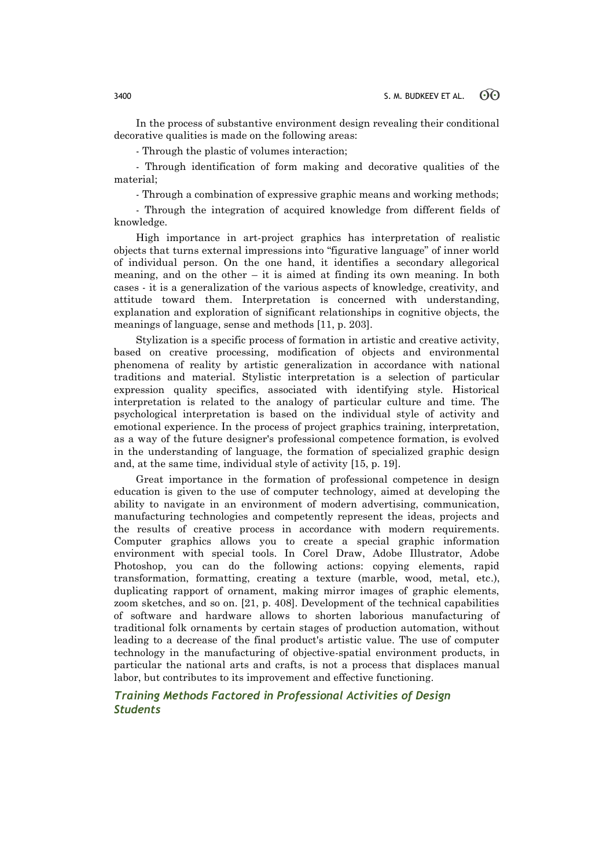In the process of substantive environment design revealing their conditional decorative qualities is made on the following areas:

- Through the plastic of volumes interaction;

- Through identification of form making and decorative qualities of the material;

- Through a combination of expressive graphic means and working methods;

- Through the integration of acquired knowledge from different fields of knowledge.

High importance in art-project graphics has interpretation of realistic objects that turns external impressions into "figurative language" of inner world of individual person. On the one hand, it identifies a secondary allegorical meaning, and on the other  $-$  it is aimed at finding its own meaning. In both cases - it is a generalization of the various aspects of knowledge, creativity, and attitude toward them. Interpretation is concerned with understanding, explanation and exploration of significant relationships in cognitive objects, the meanings of language, sense and methods [11, p. 203].

Stylization is a specific process of formation in artistic and creative activity, based on creative processing, modification of objects and environmental phenomena of reality by artistic generalization in accordance with national traditions and material. Stylistic interpretation is a selection of particular expression quality specifics, associated with identifying style. Historical interpretation is related to the analogy of particular culture and time. The psychological interpretation is based on the individual style of activity and emotional experience. In the process of project graphics training, interpretation, as a way of the future designer's professional competence formation, is evolved in the understanding of language, the formation of specialized graphic design and, at the same time, individual style of activity [15, p. 19].

Great importance in the formation of professional competence in design education is given to the use of computer technology, aimed at developing the ability to navigate in an environment of modern advertising, communication, manufacturing technologies and competently represent the ideas, projects and the results of creative process in accordance with modern requirements. Computer graphics allows you to create a special graphic information environment with special tools. In Corel Draw, Adobe Illustrator, Adobe Photoshop, you can do the following actions: copying elements, rapid transformation, formatting, creating a texture (marble, wood, metal, etc.), duplicating rapport of ornament, making mirror images of graphic elements, zoom sketches, and so on. [21, p. 408]. Development of the technical capabilities of software and hardware allows to shorten laborious manufacturing of traditional folk ornaments by certain stages of production automation, without leading to a decrease of the final product's artistic value. The use of computer technology in the manufacturing of objective-spatial environment products, in particular the national arts and crafts, is not a process that displaces manual labor, but contributes to its improvement and effective functioning.

## *Training Methods Factored in Professional Activities of Design Students*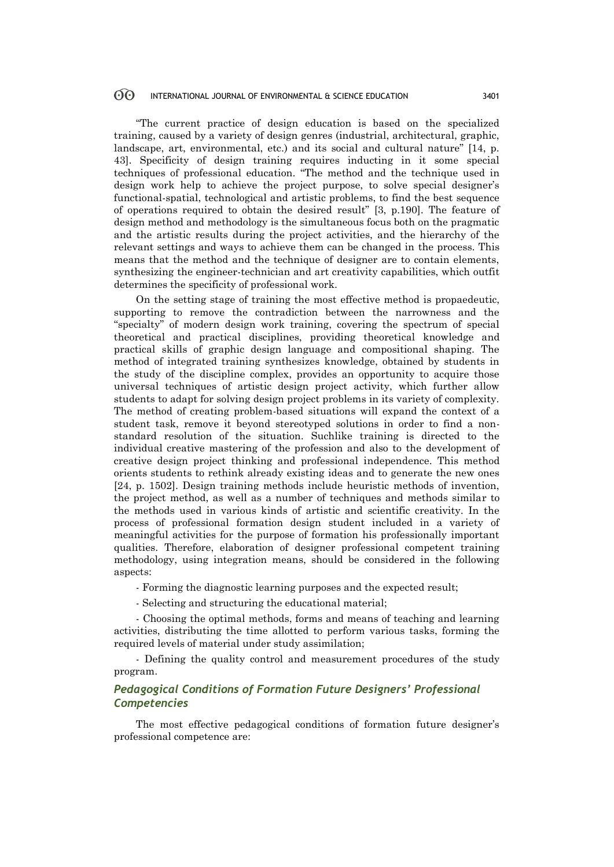"The current practice of design education is based on the specialized training, caused by a variety of design genres (industrial, architectural, graphic, landscape, art, environmental, etc.) and its social and cultural nature" [14, p. 43]. Specificity of design training requires inducting in it some special techniques of professional education. "The method and the technique used in design work help to achieve the project purpose, to solve special designer's functional-spatial, technological and artistic problems, to find the best sequence of operations required to obtain the desired result" [3, p.190]. The feature of design method and methodology is the simultaneous focus both on the pragmatic and the artistic results during the project activities, and the hierarchy of the relevant settings and ways to achieve them can be changed in the process. This means that the method and the technique of designer are to contain elements, synthesizing the engineer-technician and art creativity capabilities, which outfit determines the specificity of professional work.

On the setting stage of training the most effective method is propaedeutic, supporting to remove the contradiction between the narrowness and the "specialty" of modern design work training, covering the spectrum of special theoretical and practical disciplines, providing theoretical knowledge and practical skills of graphic design language and compositional shaping. The method of integrated training synthesizes knowledge, obtained by students in the study of the discipline complex, provides an opportunity to acquire those universal techniques of artistic design project activity, which further allow students to adapt for solving design project problems in its variety of complexity. The method of creating problem-based situations will expand the context of a student task, remove it beyond stereotyped solutions in order to find a nonstandard resolution of the situation. Suchlike training is directed to the individual creative mastering of the profession and also to the development of creative design project thinking and professional independence. This method orients students to rethink already existing ideas and to generate the new ones [24, p. 1502]. Design training methods include heuristic methods of invention, the project method, as well as a number of techniques and methods similar to the methods used in various kinds of artistic and scientific creativity. In the process of professional formation design student included in a variety of meaningful activities for the purpose of formation his professionally important qualities. Therefore, elaboration of designer professional competent training methodology, using integration means, should be considered in the following aspects:

- Forming the diagnostic learning purposes and the expected result;

- Selecting and structuring the educational material;

- Choosing the optimal methods, forms and means of teaching and learning activities, distributing the time allotted to perform various tasks, forming the required levels of material under study assimilation;

- Defining the quality control and measurement procedures of the study program.

## *Pedagogical Conditions of Formation Future Designers' Professional Competencies*

The most effective pedagogical conditions of formation future designer's professional competence are: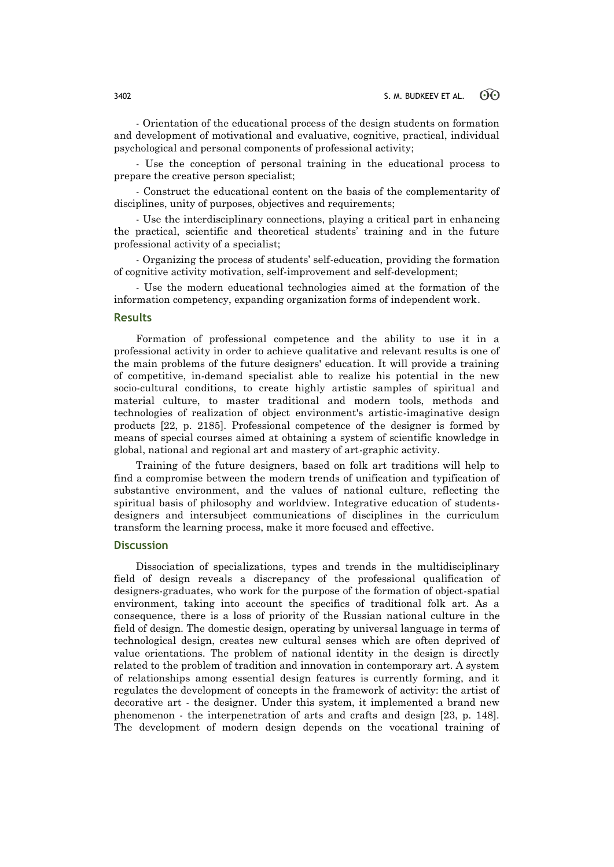- Orientation of the educational process of the design students on formation and development of motivational and evaluative, cognitive, practical, individual psychological and personal components of professional activity;

- Use the conception of personal training in the educational process to prepare the creative person specialist;

- Construct the educational content on the basis of the complementarity of disciplines, unity of purposes, objectives and requirements;

- Use the interdisciplinary connections, playing a critical part in enhancing the practical, scientific and theoretical students' training and in the future professional activity of a specialist;

- Organizing the process of students' self-education, providing the formation of cognitive activity motivation, self-improvement and self-development;

- Use the modern educational technologies aimed at the formation of the information competency, expanding organization forms of independent work.

### **Results**

Formation of professional competence and the ability to use it in a professional activity in order to achieve qualitative and relevant results is one of the main problems of the future designers' education. It will provide a training of competitive, in-demand specialist able to realize his potential in the new socio-cultural conditions, to create highly artistic samples of spiritual and material culture, to master traditional and modern tools, methods and technologies of realization of object environment's artistic-imaginative design products [22, p. 2185]. Professional competence of the designer is formed by means of special courses aimed at obtaining a system of scientific knowledge in global, national and regional art and mastery of art-graphic activity.

Training of the future designers, based on folk art traditions will help to find a compromise between the modern trends of unification and typification of substantive environment, and the values of national culture, reflecting the spiritual basis of philosophy and worldview. Integrative education of studentsdesigners and intersubject communications of disciplines in the curriculum transform the learning process, make it more focused and effective.

### **Discussion**

Dissociation of specializations, types and trends in the multidisciplinary field of design reveals a discrepancy of the professional qualification of designers-graduates, who work for the purpose of the formation of object-spatial environment, taking into account the specifics of traditional folk art. As a consequence, there is a loss of priority of the Russian national culture in the field of design. The domestic design, operating by universal language in terms of technological design, creates new cultural senses which are often deprived of value orientations. The problem of national identity in the design is directly related to the problem of tradition and innovation in contemporary art. A system of relationships among essential design features is currently forming, and it regulates the development of concepts in the framework of activity: the artist of decorative art - the designer. Under this system, it implemented a brand new phenomenon - the interpenetration of arts and crafts and design [23, p. 148]. The development of modern design depends on the vocational training of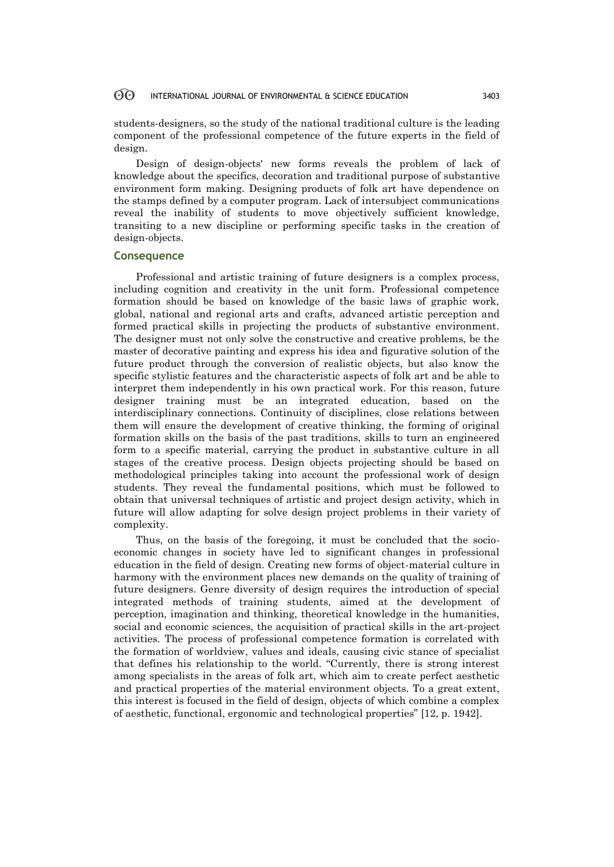students-designers, so the study of the national traditional culture is the leading component of the professional competence of the future experts in the field of design.

Design of design-objects' new forms reveals the problem of lack of knowledge about the specifics, decoration and traditional purpose of substantive environment form making. Designing products of folk art have dependence on the stamps defined by a computer program. Lack of intersubject communications reveal the inability of students to move objectively sufficient knowledge, transiting to a new discipline or performing specific tasks in the creation of design-objects.

#### **Consequence**

Professional and artistic training of future designers is a complex process, including cognition and creativity in the unit form. Professional competence formation should be based on knowledge of the basic laws of graphic work, global, national and regional arts and crafts, advanced artistic perception and formed practical skills in projecting the products of substantive environment. The designer must not only solve the constructive and creative problems, be the master of decorative painting and express his idea and figurative solution of the future product through the conversion of realistic objects, but also know the specific stylistic features and the characteristic aspects of folk art and be able to interpret them independently in his own practical work. For this reason, future designer training must be an integrated education, based on the interdisciplinary connections. Continuity of disciplines, close relations between them will ensure the development of creative thinking, the forming of original formation skills on the basis of the past traditions, skills to turn an engineered form to a specific material, carrying the product in substantive culture in all stages of the creative process. Design objects projecting should be based on methodological principles taking into account the professional work of design students. They reveal the fundamental positions, which must be followed to obtain that universal techniques of artistic and project design activity, which in future will allow adapting for solve design project problems in their variety of complexity.

Thus, on the basis of the foregoing, it must be concluded that the socioeconomic changes in society have led to significant changes in professional education in the field of design. Creating new forms of object-material culture in harmony with the environment places new demands on the quality of training of future designers. Genre diversity of design requires the introduction of special integrated methods of training students, aimed at the development of perception, imagination and thinking, theoretical knowledge in the humanities, social and economic sciences, the acquisition of practical skills in the art-project activities. The process of professional competence formation is correlated with the formation of worldview, values and ideals, causing civic stance of specialist that defines his relationship to the world. "Currently, there is strong interest among specialists in the areas of folk art, which aim to create perfect aesthetic and practical properties of the material environment objects. To a great extent, this interest is focused in the field of design, objects of which combine a complex of aesthetic, functional, ergonomic and technological properties" [12, p. 1942].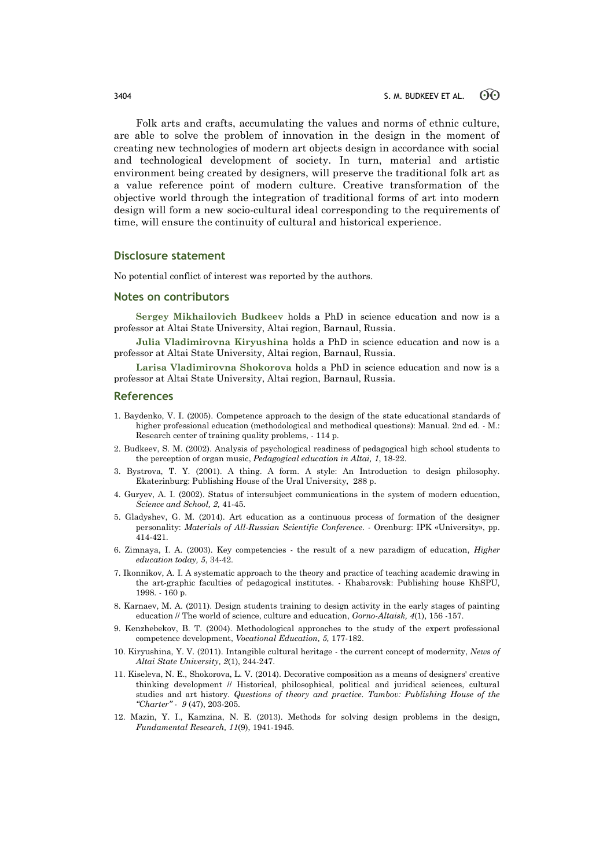Folk arts and crafts, accumulating the values and norms of ethnic culture, are able to solve the problem of innovation in the design in the moment of creating new technologies of modern art objects design in accordance with social and technological development of society. In turn, material and artistic environment being created by designers, will preserve the traditional folk art as a value reference point of modern culture. Creative transformation of the objective world through the integration of traditional forms of art into modern design will form a new socio-cultural ideal corresponding to the requirements of time, will ensure the continuity of cultural and historical experience.

#### **Disclosure statement**

No potential conflict of interest was reported by the authors.

#### **Notes on contributors**

**Sergey Mikhailovich Budkeev** holds a PhD in science education and now is a professor at Altai State University, Altai region, Barnaul, Russia.

**Julia Vladimirovna Kiryushina** holds a PhD in science education and now is a professor at Altai State University, Altai region, Barnaul, Russia.

**Larisa Vladimirovna Shokorova** holds a PhD in science education and now is a professor at Altai State University, Altai region, Barnaul, Russia.

#### **References**

- 1. Baydenko, V. I. (2005). Competence approach to the design of the state educational standards of higher professional education (methodological and methodical questions): Manual. 2nd ed. - M.: Research center of training quality problems, - 114 p.
- 2. Budkeev, S. M. (2002). Analysis of psychological readiness of pedagogical high school students to the perception of organ music, *Pedagogical education in Altai, 1*, 18-22.
- 3. Bystrova, T. Y. (2001). A thing. A form. A style: An Introduction to design philosophy. Ekaterinburg: Publishing House of the Ural University, 288 p.
- 4. Guryev, A. I. (2002). Status of intersubject communications in the system of modern education, *Science and School, 2,* 41-45.
- 5. Gladyshev, G. M. (2014). Art education as a continuous process of formation of the designer personality: *Materials of All-Russian Scientific Conference*. - Orenburg: IPK «University», pp. 414-421.
- 6. Zimnaya, I. A. (2003). Key competencies the result of a new paradigm of education, *Higher education today, 5*, 34-42.
- 7. Ikonnikov, A. I. A systematic approach to the theory and practice of teaching academic drawing in the art-graphic faculties of pedagogical institutes. - Khabarovsk: Publishing house KhSPU, 1998. - 160 p.
- 8. Karnaev, M. A. (2011). Design students training to design activity in the early stages of painting education // The world of science, culture and education, *Gorno-Altaisk, 4*(1), 156 -157.
- 9. Kenzhebekov, B. T. (2004). Methodological approaches to the study of the expert professional competence development, *Vocational Education, 5,* 177-182.
- 10. Kiryushina, Y. V. (2011). Intangible cultural heritage the current concept of modernity, *News of Altai State University, 2*(1), 244-247.
- 11. Kiseleva, N. E., Shokorova, L. V. (2014). Decorative composition as a means of designers' creative thinking development // Historical, philosophical, political and juridical sciences, cultural studies and art history. *Questions of theory and practice. Tambov: Publishing House of the "Charter" - 9* (47), 203-205.
- 12. Mazin, Y. I., Kamzina, N. E. (2013). Methods for solving design problems in the design, *Fundamental Research, 11*(9), 1941-1945.